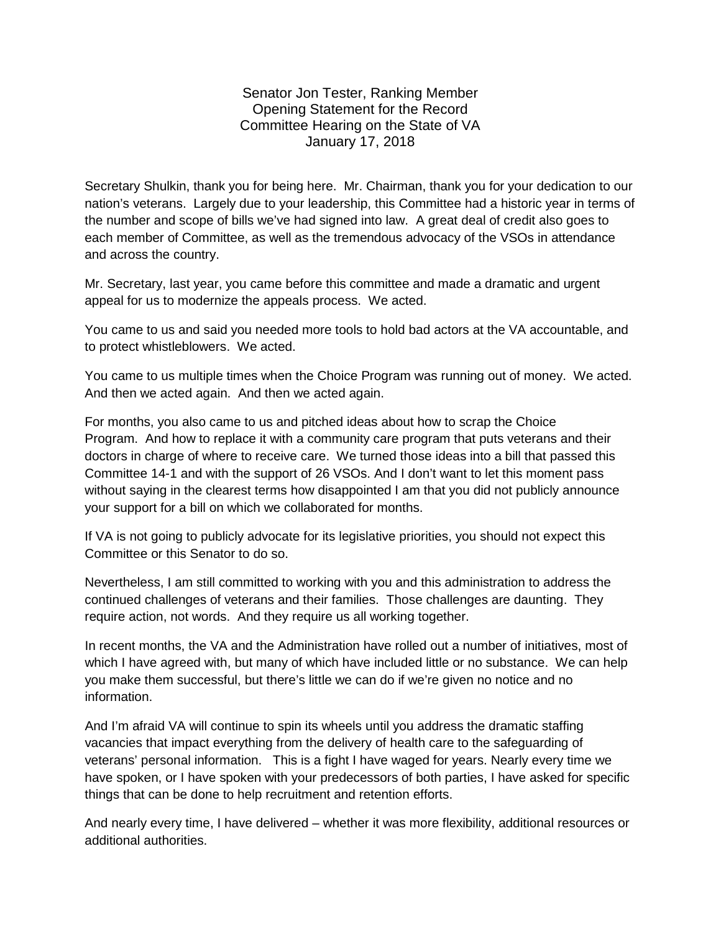Senator Jon Tester, Ranking Member Opening Statement for the Record Committee Hearing on the State of VA January 17, 2018

Secretary Shulkin, thank you for being here. Mr. Chairman, thank you for your dedication to our nation's veterans. Largely due to your leadership, this Committee had a historic year in terms of the number and scope of bills we've had signed into law. A great deal of credit also goes to each member of Committee, as well as the tremendous advocacy of the VSOs in attendance and across the country.

Mr. Secretary, last year, you came before this committee and made a dramatic and urgent appeal for us to modernize the appeals process. We acted.

You came to us and said you needed more tools to hold bad actors at the VA accountable, and to protect whistleblowers. We acted.

You came to us multiple times when the Choice Program was running out of money. We acted. And then we acted again. And then we acted again.

For months, you also came to us and pitched ideas about how to scrap the Choice Program. And how to replace it with a community care program that puts veterans and their doctors in charge of where to receive care. We turned those ideas into a bill that passed this Committee 14-1 and with the support of 26 VSOs. And I don't want to let this moment pass without saying in the clearest terms how disappointed I am that you did not publicly announce your support for a bill on which we collaborated for months.

If VA is not going to publicly advocate for its legislative priorities, you should not expect this Committee or this Senator to do so.

Nevertheless, I am still committed to working with you and this administration to address the continued challenges of veterans and their families. Those challenges are daunting. They require action, not words. And they require us all working together.

In recent months, the VA and the Administration have rolled out a number of initiatives, most of which I have agreed with, but many of which have included little or no substance. We can help you make them successful, but there's little we can do if we're given no notice and no information.

And I'm afraid VA will continue to spin its wheels until you address the dramatic staffing vacancies that impact everything from the delivery of health care to the safeguarding of veterans' personal information. This is a fight I have waged for years. Nearly every time we have spoken, or I have spoken with your predecessors of both parties, I have asked for specific things that can be done to help recruitment and retention efforts.

And nearly every time, I have delivered – whether it was more flexibility, additional resources or additional authorities.